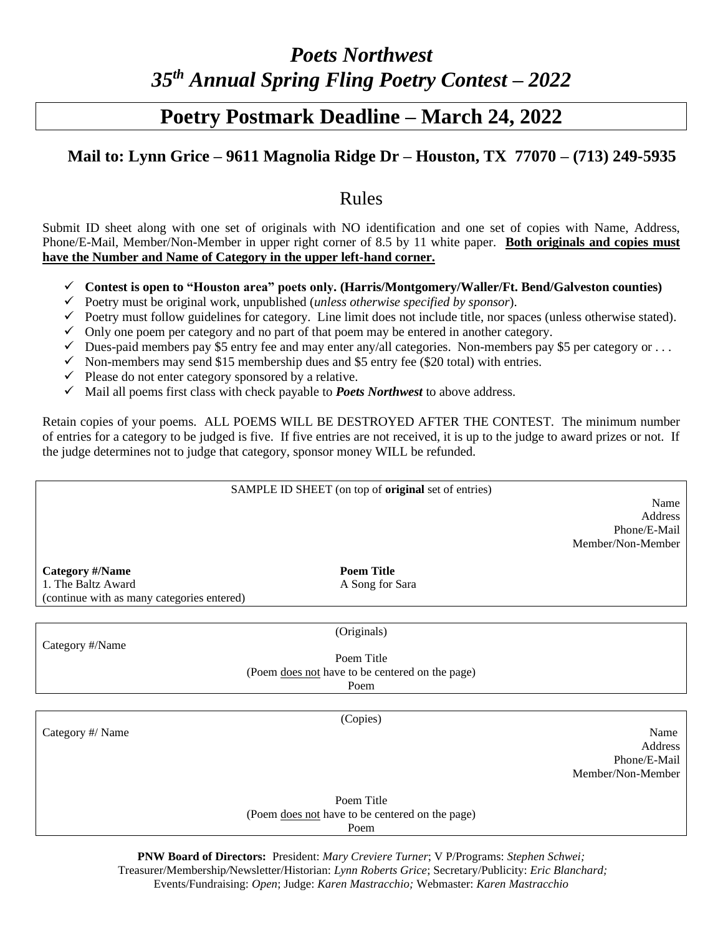## *Poets Northwest 35 th Annual Spring Fling Poetry Contest – 2022*

## **Poetry Postmark Deadline – March 24, 2022**

## **Mail to: Lynn Grice – 9611 Magnolia Ridge Dr – Houston, TX 77070 – (713) 249-5935**

## Rules

Submit ID sheet along with one set of originals with NO identification and one set of copies with Name, Address, Phone/E-Mail, Member/Non-Member in upper right corner of 8.5 by 11 white paper. **Both originals and copies must have the Number and Name of Category in the upper left-hand corner.**

- ✓ **Contest is open to "Houston area" poets only. (Harris/Montgomery/Waller/Ft. Bend/Galveston counties)**
- ✓ Poetry must be original work, unpublished (*unless otherwise specified by sponsor*).
- $\checkmark$  Poetry must follow guidelines for category. Line limit does not include title, nor spaces (unless otherwise stated).
- $\checkmark$  Only one poem per category and no part of that poem may be entered in another category.
- $\checkmark$  Dues-paid members pay \$5 entry fee and may enter any/all categories. Non-members pay \$5 per category or ...
- $\checkmark$  Non-members may send \$15 membership dues and \$5 entry fee (\$20 total) with entries.
- $\checkmark$  Please do not enter category sponsored by a relative.
- $\checkmark$  Mail all poems first class with check payable to **Poets Northwest** to above address.

Retain copies of your poems. ALL POEMS WILL BE DESTROYED AFTER THE CONTEST. The minimum number of entries for a category to be judged is five. If five entries are not received, it is up to the judge to award prizes or not. If the judge determines not to judge that category, sponsor money WILL be refunded.

|                                            | SAMPLE ID SHEET (on top of original set of entries) |                   |
|--------------------------------------------|-----------------------------------------------------|-------------------|
|                                            |                                                     | Name<br>Address   |
|                                            |                                                     | Phone/E-Mail      |
|                                            |                                                     | Member/Non-Member |
|                                            |                                                     |                   |
| <b>Category #/Name</b>                     | <b>Poem Title</b>                                   |                   |
| 1. The Baltz Award                         | A Song for Sara                                     |                   |
| (continue with as many categories entered) |                                                     |                   |
|                                            |                                                     |                   |
|                                            | (Originals)                                         |                   |
| Category #/Name                            |                                                     |                   |
|                                            | Poem Title                                          |                   |
|                                            | (Poem does not have to be centered on the page)     |                   |
|                                            | Poem                                                |                   |
|                                            |                                                     |                   |
|                                            | (Copies)                                            |                   |
| Category #/ Name                           |                                                     | Name              |
|                                            |                                                     | Address           |
|                                            |                                                     | Phone/E-Mail      |
|                                            |                                                     | Member/Non-Member |
|                                            | Poem Title                                          |                   |
|                                            | (Poem does not have to be centered on the page)     |                   |
|                                            | Poem                                                |                   |
|                                            |                                                     |                   |

**PNW Board of Directors:** President: *Mary Creviere Turner*; V P/Programs: *Stephen Schwei;* Treasurer/Membership*/*Newsletter/Historian: *Lynn Roberts Grice*; Secretary/Publicity: *Eric Blanchard;* Events/Fundraising: *Open*; Judge: *Karen Mastracchio;* Webmaster: *Karen Mastracchio*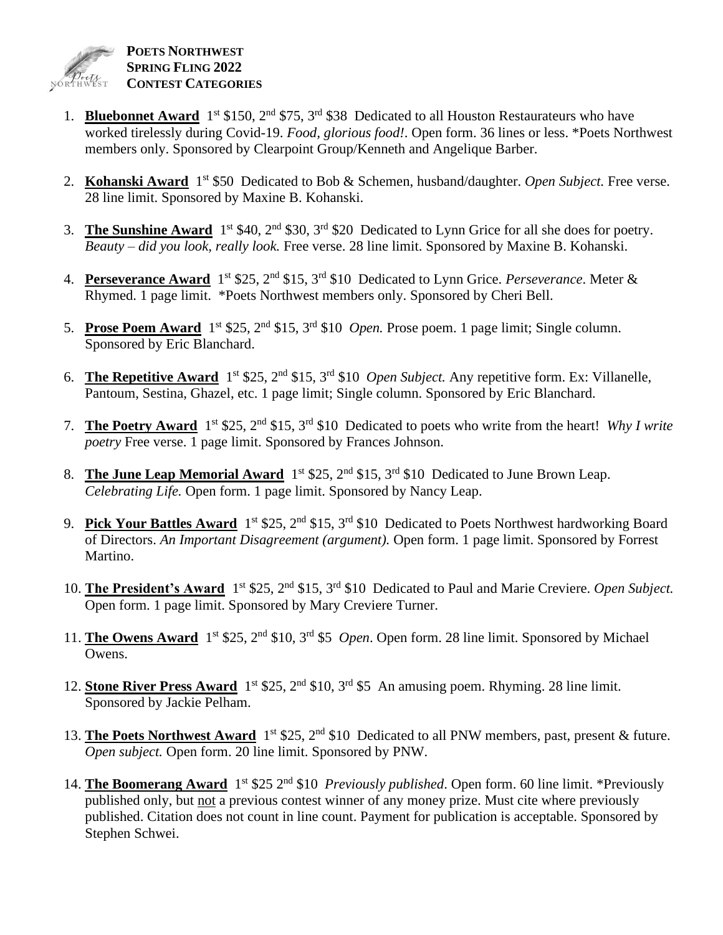

- 1. **Bluebonnet Award** 1<sup>st</sup> \$150, 2<sup>nd</sup> \$75, 3<sup>rd</sup> \$38 Dedicated to all Houston Restaurateurs who have worked tirelessly during Covid-19. *Food, glorious food!*. Open form. 36 lines or less. \*Poets Northwest members only. Sponsored by Clearpoint Group/Kenneth and Angelique Barber.
- 2. Kohanski Award 1<sup>st</sup> \$50 Dedicated to Bob & Schemen, husband/daughter. Open Subject. Free verse. 28 line limit. Sponsored by Maxine B. Kohanski.
- 3. **The Sunshine Award**  $1^{st}$  \$40,  $2^{nd}$  \$30,  $3^{rd}$  \$20 Dedicated to Lynn Grice for all she does for poetry. *Beauty – did you look, really look.* Free verse. 28 line limit. Sponsored by Maxine B. Kohanski.
- 4. Perseverance Award 1<sup>st</sup> \$25, 2<sup>nd</sup> \$15, 3<sup>rd</sup> \$10 Dedicated to Lynn Grice. *Perseverance*. Meter & Rhymed. 1 page limit. \*Poets Northwest members only. Sponsored by Cheri Bell.
- 5. **Prose Poem Award** 1 st \$25, 2nd \$15, 3 rd \$10 *Open.* Prose poem. 1 page limit; Single column. Sponsored by Eric Blanchard.
- 6. **The Repetitive Award** 1 st \$25, 2nd \$15, 3 rd \$10 *Open Subject.* Any repetitive form. Ex: Villanelle, Pantoum, Sestina, Ghazel, etc. 1 page limit; Single column. Sponsored by Eric Blanchard.
- 7. The Poetry Award 1<sup>st</sup> \$25, 2<sup>nd</sup> \$15, 3<sup>rd</sup> \$10 Dedicated to poets who write from the heart! *Why I write poetry* Free verse. 1 page limit. Sponsored by Frances Johnson.
- 8. The June Leap Memorial Award 1<sup>st</sup> \$25, 2<sup>nd</sup> \$15, 3<sup>rd</sup> \$10 Dedicated to June Brown Leap. *Celebrating Life.* Open form. 1 page limit. Sponsored by Nancy Leap.
- 9. Pick Your Battles Award 1<sup>st</sup> \$25, 2<sup>nd</sup> \$15, 3<sup>rd</sup> \$10 Dedicated to Poets Northwest hardworking Board of Directors. *An Important Disagreement (argument).* Open form. 1 page limit. Sponsored by Forrest Martino.
- 10. The President's Award 1<sup>st</sup> \$25, 2<sup>nd</sup> \$15, 3<sup>rd</sup> \$10 Dedicated to Paul and Marie Creviere. *Open Subject*. Open form. 1 page limit. Sponsored by Mary Creviere Turner.
- 11. The Owens Award 1<sup>st</sup> \$25, 2<sup>nd</sup> \$10, 3<sup>rd</sup> \$5 *Open*. Open form. 28 line limit. Sponsored by Michael Owens.
- 12. **Stone River Press Award** 1<sup>st</sup> \$25, 2<sup>nd</sup> \$10, 3<sup>rd</sup> \$5 An amusing poem. Rhyming. 28 line limit. Sponsored by Jackie Pelham.
- 13. The Poets Northwest Award 1<sup>st</sup> \$25, 2<sup>nd</sup> \$10 Dedicated to all PNW members, past, present & future. *Open subject.* Open form. 20 line limit. Sponsored by PNW.
- 14. **The Boomerang Award** 1<sup>st</sup> \$25 2<sup>nd</sup> \$10 *Previously published*. Open form. 60 line limit. \*Previously published only, but not a previous contest winner of any money prize. Must cite where previously published. Citation does not count in line count. Payment for publication is acceptable. Sponsored by Stephen Schwei.